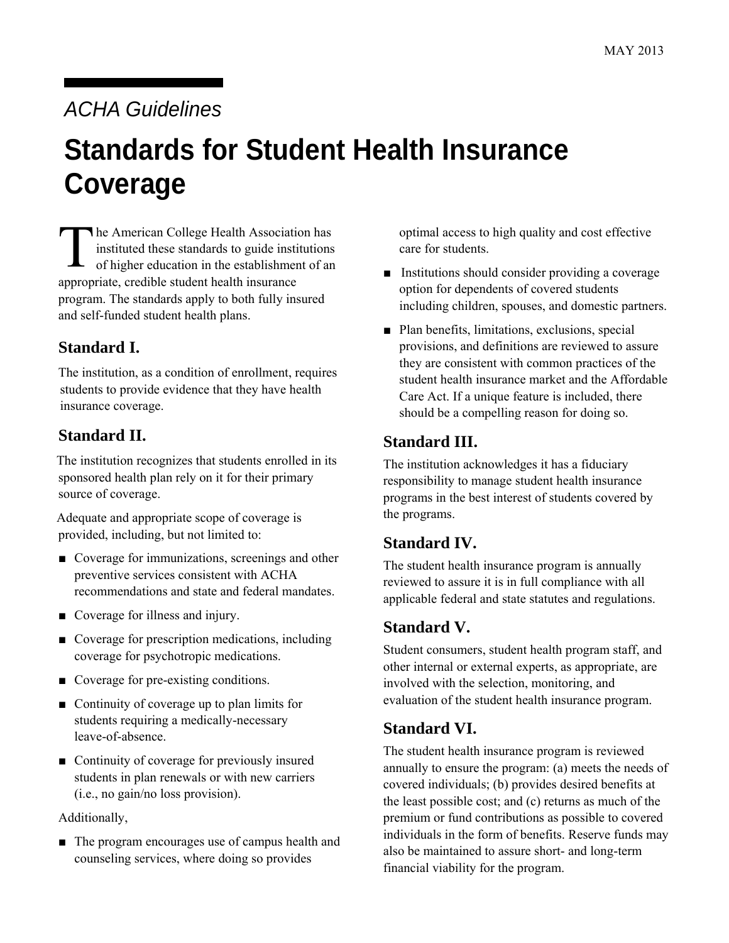# *ACHA Guidelines*

# **Standards for Student Health Insurance Coverage**

T he American College Health Association has instituted these standards to guide institutions of higher education in the establishment of an appropriate, credible student health insurance program. The standards apply to both fully insured and self-funded student health plans.

#### **Standard I.**

The institution, as a condition of enrollment, requires students to provide evidence that they have health insurance coverage.

#### **Standard II.**

The institution recognizes that students enrolled in its sponsored health plan rely on it for their primary source of coverage.

Adequate and appropriate scope of coverage is provided, including, but not limited to:

- Coverage for immunizations, screenings and other preventive services consistent with ACHA recommendations and state and federal mandates.
- Coverage for illness and injury.
- Coverage for prescription medications, including coverage for psychotropic medications.
- Coverage for pre-existing conditions.
- Continuity of coverage up to plan limits for students requiring a medically-necessary leave-of-absence.
- Continuity of coverage for previously insured students in plan renewals or with new carriers (i.e., no gain/no loss provision).

Additionally,

■ The program encourages use of campus health and counseling services, where doing so provides

optimal access to high quality and cost effective care for students.

- Institutions should consider providing a coverage option for dependents of covered students including children, spouses, and domestic partners.
- Plan benefits, limitations, exclusions, special provisions, and definitions are reviewed to assure they are consistent with common practices of the student health insurance market and the Affordable Care Act. If a unique feature is included, there should be a compelling reason for doing so.

## **Standard III.**

The institution acknowledges it has a fiduciary responsibility to manage student health insurance programs in the best interest of students covered by the programs.

# **Standard IV.**

The student health insurance program is annually reviewed to assure it is in full compliance with all applicable federal and state statutes and regulations.

# **Standard V.**

Student consumers, student health program staff, and other internal or external experts, as appropriate, are involved with the selection, monitoring, and evaluation of the student health insurance program.

#### **Standard VI.**

The student health insurance program is reviewed annually to ensure the program: (a) meets the needs of covered individuals; (b) provides desired benefits at the least possible cost; and (c) returns as much of the premium or fund contributions as possible to covered individuals in the form of benefits. Reserve funds may also be maintained to assure short- and long-term financial viability for the program.